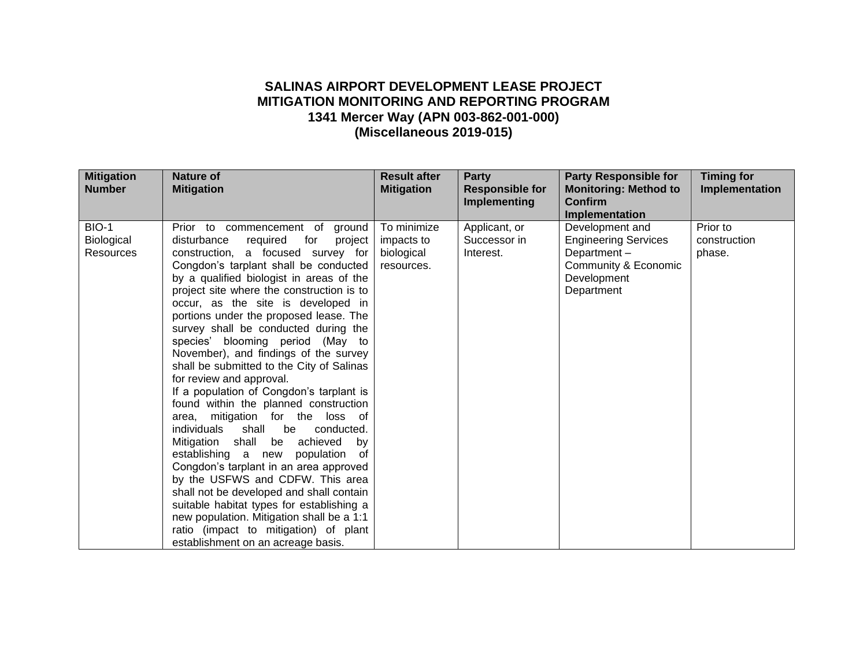## **SALINAS AIRPORT DEVELOPMENT LEASE PROJECT MITIGATION MONITORING AND REPORTING PROGRAM 1341 Mercer Way (APN 003-862-001-000) (Miscellaneous 2019-015)**

| <b>Mitigation</b><br><b>Number</b>      | <b>Nature of</b><br><b>Mitigation</b>                                                                                                                                                                                                                                                                                                                                                                                                                                                                                                                                                                                                                                                                                                                                                                                                                                                                                                                                                                                                                                                            | <b>Result after</b><br><b>Mitigation</b>              | <b>Party</b><br><b>Responsible for</b><br><b>Implementing</b> | <b>Party Responsible for</b><br><b>Monitoring: Method to</b><br><b>Confirm</b>                                     | <b>Timing for</b><br>Implementation |
|-----------------------------------------|--------------------------------------------------------------------------------------------------------------------------------------------------------------------------------------------------------------------------------------------------------------------------------------------------------------------------------------------------------------------------------------------------------------------------------------------------------------------------------------------------------------------------------------------------------------------------------------------------------------------------------------------------------------------------------------------------------------------------------------------------------------------------------------------------------------------------------------------------------------------------------------------------------------------------------------------------------------------------------------------------------------------------------------------------------------------------------------------------|-------------------------------------------------------|---------------------------------------------------------------|--------------------------------------------------------------------------------------------------------------------|-------------------------------------|
|                                         |                                                                                                                                                                                                                                                                                                                                                                                                                                                                                                                                                                                                                                                                                                                                                                                                                                                                                                                                                                                                                                                                                                  |                                                       |                                                               | Implementation                                                                                                     |                                     |
| <b>BIO-1</b><br>Biological<br>Resources | Prior to commencement of ground<br>disturbance<br>required<br>project<br>for<br>construction, a focused survey for<br>Congdon's tarplant shall be conducted<br>by a qualified biologist in areas of the<br>project site where the construction is to<br>occur, as the site is developed in<br>portions under the proposed lease. The<br>survey shall be conducted during the<br>species' blooming period (May<br>to<br>November), and findings of the survey<br>shall be submitted to the City of Salinas<br>for review and approval.<br>If a population of Congdon's tarplant is<br>found within the planned construction<br>mitigation for the loss of<br>area,<br>individuals<br>shall<br>be<br>conducted.<br>Mitigation shall be achieved<br>by<br>establishing a new<br>population<br>οf<br>Congdon's tarplant in an area approved<br>by the USFWS and CDFW. This area<br>shall not be developed and shall contain<br>suitable habitat types for establishing a<br>new population. Mitigation shall be a 1:1<br>ratio (impact to mitigation) of plant<br>establishment on an acreage basis. | To minimize<br>impacts to<br>biological<br>resources. | Applicant, or<br>Successor in<br>Interest.                    | Development and<br><b>Engineering Services</b><br>Department-<br>Community & Economic<br>Development<br>Department | Prior to<br>construction<br>phase.  |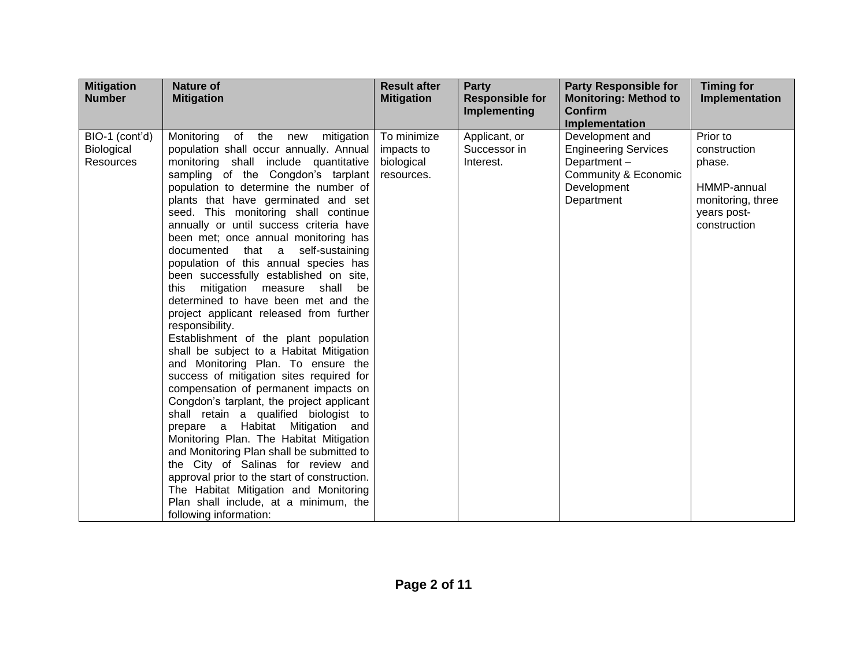| <b>Mitigation</b><br><b>Number</b>        | <b>Nature of</b><br><b>Mitigation</b>                                                                                                                                                                                                                                                                                                                                                                                                                                                                                                                                                                                                                                                                                                                                                                                                                                                                                                                                                                                                                                                                                                                                                                                                                                                       | <b>Result after</b><br><b>Mitigation</b>              | <b>Party</b><br><b>Responsible for</b><br>Implementing | <b>Party Responsible for</b><br><b>Monitoring: Method to</b><br><b>Confirm</b><br>Implementation                   | <b>Timing for</b><br>Implementation                                                                   |
|-------------------------------------------|---------------------------------------------------------------------------------------------------------------------------------------------------------------------------------------------------------------------------------------------------------------------------------------------------------------------------------------------------------------------------------------------------------------------------------------------------------------------------------------------------------------------------------------------------------------------------------------------------------------------------------------------------------------------------------------------------------------------------------------------------------------------------------------------------------------------------------------------------------------------------------------------------------------------------------------------------------------------------------------------------------------------------------------------------------------------------------------------------------------------------------------------------------------------------------------------------------------------------------------------------------------------------------------------|-------------------------------------------------------|--------------------------------------------------------|--------------------------------------------------------------------------------------------------------------------|-------------------------------------------------------------------------------------------------------|
| BIO-1 (cont'd)<br>Biological<br>Resources | Monitoring<br>of the<br>new<br>mitigation<br>population shall occur annually. Annual<br>monitoring shall include quantitative<br>sampling of the Congdon's tarplant<br>population to determine the number of<br>plants that have germinated and set<br>seed. This monitoring shall continue<br>annually or until success criteria have<br>been met; once annual monitoring has<br>documented that a self-sustaining<br>population of this annual species has<br>been successfully established on site,<br>mitigation measure<br>shall<br>this<br>be<br>determined to have been met and the<br>project applicant released from further<br>responsibility.<br>Establishment of the plant population<br>shall be subject to a Habitat Mitigation<br>and Monitoring Plan. To ensure the<br>success of mitigation sites required for<br>compensation of permanent impacts on<br>Congdon's tarplant, the project applicant<br>shall retain a qualified biologist to<br>prepare a Habitat Mitigation and<br>Monitoring Plan. The Habitat Mitigation<br>and Monitoring Plan shall be submitted to<br>the City of Salinas for review and<br>approval prior to the start of construction.<br>The Habitat Mitigation and Monitoring<br>Plan shall include, at a minimum, the<br>following information: | To minimize<br>impacts to<br>biological<br>resources. | Applicant, or<br>Successor in<br>Interest.             | Development and<br><b>Engineering Services</b><br>Department-<br>Community & Economic<br>Development<br>Department | Prior to<br>construction<br>phase.<br>HMMP-annual<br>monitoring, three<br>years post-<br>construction |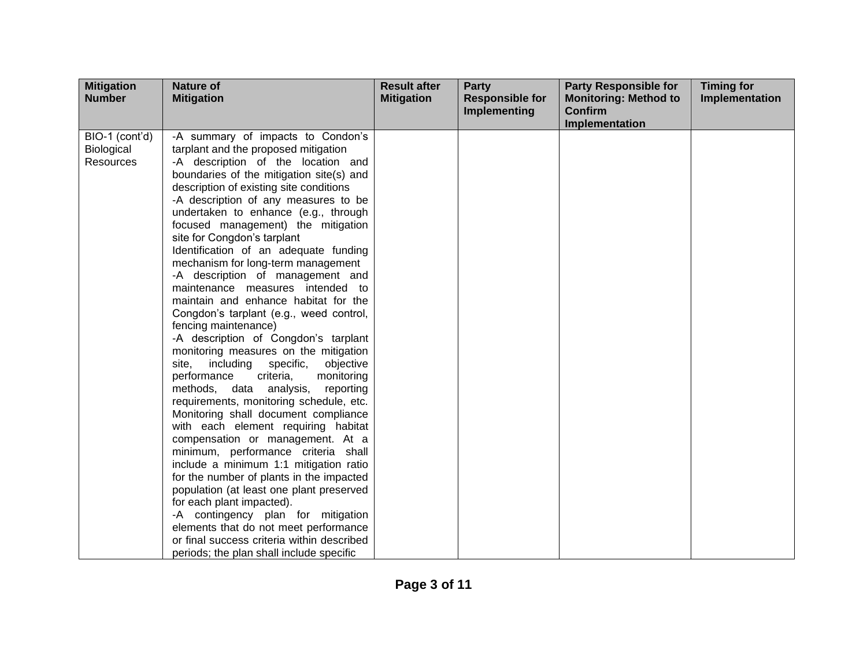| <b>Mitigation</b><br><b>Number</b>        | <b>Nature of</b><br><b>Mitigation</b>                                                                                                                                                                                                                                                                                                                                                                                                                                                                                                                                                                                                                                                                                                                                                                                                                                                                                                                                                                                                                                                                                                                                                                                                                                                                                                                                                         | <b>Result after</b><br><b>Mitigation</b> | <b>Party</b><br><b>Responsible for</b><br><b>Implementing</b> | <b>Party Responsible for</b><br><b>Monitoring: Method to</b><br><b>Confirm</b> | <b>Timing for</b><br>Implementation |
|-------------------------------------------|-----------------------------------------------------------------------------------------------------------------------------------------------------------------------------------------------------------------------------------------------------------------------------------------------------------------------------------------------------------------------------------------------------------------------------------------------------------------------------------------------------------------------------------------------------------------------------------------------------------------------------------------------------------------------------------------------------------------------------------------------------------------------------------------------------------------------------------------------------------------------------------------------------------------------------------------------------------------------------------------------------------------------------------------------------------------------------------------------------------------------------------------------------------------------------------------------------------------------------------------------------------------------------------------------------------------------------------------------------------------------------------------------|------------------------------------------|---------------------------------------------------------------|--------------------------------------------------------------------------------|-------------------------------------|
|                                           |                                                                                                                                                                                                                                                                                                                                                                                                                                                                                                                                                                                                                                                                                                                                                                                                                                                                                                                                                                                                                                                                                                                                                                                                                                                                                                                                                                                               |                                          |                                                               | <b>Implementation</b>                                                          |                                     |
| BIO-1 (cont'd)<br>Biological<br>Resources | -A summary of impacts to Condon's<br>tarplant and the proposed mitigation<br>-A description of the location and<br>boundaries of the mitigation site(s) and<br>description of existing site conditions<br>-A description of any measures to be<br>undertaken to enhance (e.g., through<br>focused management) the mitigation<br>site for Congdon's tarplant<br>Identification of an adequate funding<br>mechanism for long-term management<br>-A description of management and<br>maintenance measures intended to<br>maintain and enhance habitat for the<br>Congdon's tarplant (e.g., weed control,<br>fencing maintenance)<br>-A description of Congdon's tarplant<br>monitoring measures on the mitigation<br>specific,<br>including<br>objective<br>site,<br>performance<br>criteria,<br>monitoring<br>methods, data analysis,<br>reporting<br>requirements, monitoring schedule, etc.<br>Monitoring shall document compliance<br>with each element requiring habitat<br>compensation or management. At a<br>minimum, performance criteria shall<br>include a minimum 1:1 mitigation ratio<br>for the number of plants in the impacted<br>population (at least one plant preserved<br>for each plant impacted).<br>-A contingency plan for mitigation<br>elements that do not meet performance<br>or final success criteria within described<br>periods; the plan shall include specific |                                          |                                                               |                                                                                |                                     |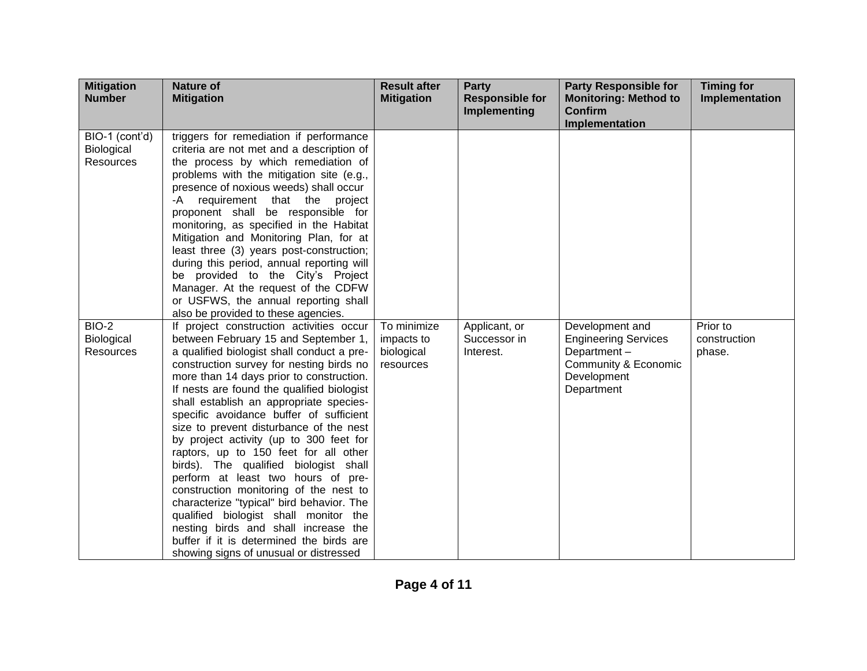| <b>Mitigation</b><br><b>Number</b> | <b>Nature of</b><br><b>Mitigation</b>                                                 | <b>Result after</b><br><b>Mitigation</b> | <b>Party</b><br><b>Responsible for</b><br><b>Implementing</b> | <b>Party Responsible for</b><br><b>Monitoring: Method to</b><br><b>Confirm</b> | <b>Timing for</b><br>Implementation |
|------------------------------------|---------------------------------------------------------------------------------------|------------------------------------------|---------------------------------------------------------------|--------------------------------------------------------------------------------|-------------------------------------|
| BIO-1 (cont'd)                     | triggers for remediation if performance                                               |                                          |                                                               | Implementation                                                                 |                                     |
| Biological                         | criteria are not met and a description of                                             |                                          |                                                               |                                                                                |                                     |
| <b>Resources</b>                   | the process by which remediation of                                                   |                                          |                                                               |                                                                                |                                     |
|                                    | problems with the mitigation site (e.g.,                                              |                                          |                                                               |                                                                                |                                     |
|                                    | presence of noxious weeds) shall occur                                                |                                          |                                                               |                                                                                |                                     |
|                                    | requirement that the project<br>-A                                                    |                                          |                                                               |                                                                                |                                     |
|                                    | proponent shall be responsible for                                                    |                                          |                                                               |                                                                                |                                     |
|                                    | monitoring, as specified in the Habitat                                               |                                          |                                                               |                                                                                |                                     |
|                                    | Mitigation and Monitoring Plan, for at                                                |                                          |                                                               |                                                                                |                                     |
|                                    | least three (3) years post-construction;<br>during this period, annual reporting will |                                          |                                                               |                                                                                |                                     |
|                                    | be provided to the City's Project                                                     |                                          |                                                               |                                                                                |                                     |
|                                    | Manager. At the request of the CDFW                                                   |                                          |                                                               |                                                                                |                                     |
|                                    | or USFWS, the annual reporting shall                                                  |                                          |                                                               |                                                                                |                                     |
|                                    | also be provided to these agencies.                                                   |                                          |                                                               |                                                                                |                                     |
| <b>BIO-2</b>                       | If project construction activities occur                                              | To minimize                              | Applicant, or                                                 | Development and                                                                | Prior to                            |
| Biological                         | between February 15 and September 1,                                                  | impacts to                               | Successor in                                                  | <b>Engineering Services</b>                                                    | construction                        |
| <b>Resources</b>                   | a qualified biologist shall conduct a pre-                                            | biological                               | Interest.                                                     | Department-                                                                    | phase.                              |
|                                    | construction survey for nesting birds no                                              | resources                                |                                                               | Community & Economic                                                           |                                     |
|                                    | more than 14 days prior to construction.                                              |                                          |                                                               | Development                                                                    |                                     |
|                                    | If nests are found the qualified biologist                                            |                                          |                                                               | Department                                                                     |                                     |
|                                    | shall establish an appropriate species-<br>specific avoidance buffer of sufficient    |                                          |                                                               |                                                                                |                                     |
|                                    | size to prevent disturbance of the nest                                               |                                          |                                                               |                                                                                |                                     |
|                                    | by project activity (up to 300 feet for                                               |                                          |                                                               |                                                                                |                                     |
|                                    | raptors, up to 150 feet for all other                                                 |                                          |                                                               |                                                                                |                                     |
|                                    | birds). The qualified biologist shall                                                 |                                          |                                                               |                                                                                |                                     |
|                                    | perform at least two hours of pre-                                                    |                                          |                                                               |                                                                                |                                     |
|                                    | construction monitoring of the nest to                                                |                                          |                                                               |                                                                                |                                     |
|                                    | characterize "typical" bird behavior. The                                             |                                          |                                                               |                                                                                |                                     |
|                                    | qualified biologist shall monitor the                                                 |                                          |                                                               |                                                                                |                                     |
|                                    | nesting birds and shall increase the                                                  |                                          |                                                               |                                                                                |                                     |
|                                    | buffer if it is determined the birds are                                              |                                          |                                                               |                                                                                |                                     |
|                                    | showing signs of unusual or distressed                                                |                                          |                                                               |                                                                                |                                     |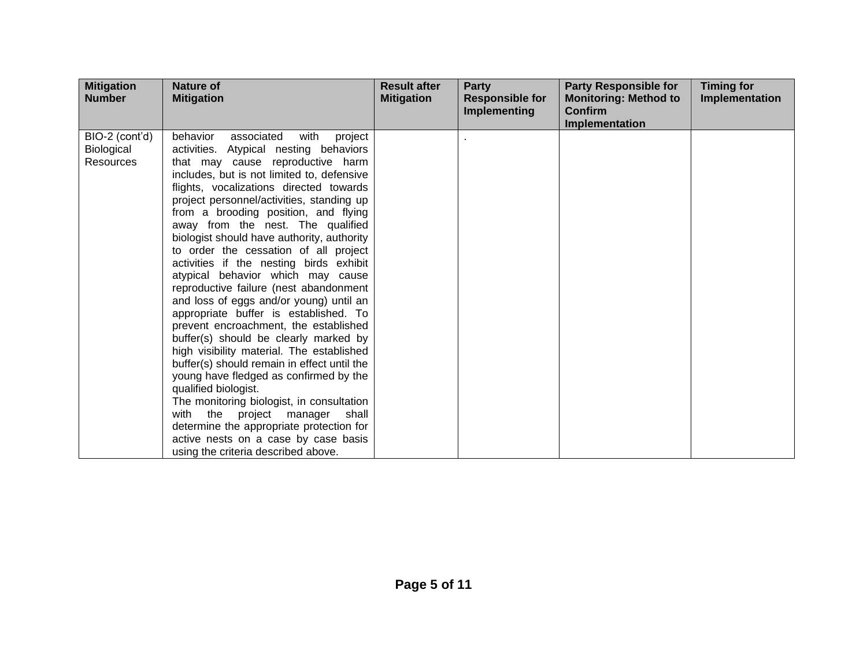| <b>Mitigation</b><br><b>Number</b>        | <b>Nature of</b><br><b>Mitigation</b>                                                                                                                                                                                                                                                                                                                                                                                                                                                                                                                                                                                                                                                                                                                                                                                                                                                                                                                                                                                                                                                                           | <b>Result after</b><br><b>Mitigation</b> | <b>Party</b><br><b>Responsible for</b><br><b>Implementing</b> | <b>Party Responsible for</b><br><b>Monitoring: Method to</b><br>Confirm<br>Implementation | <b>Timing for</b><br>Implementation |
|-------------------------------------------|-----------------------------------------------------------------------------------------------------------------------------------------------------------------------------------------------------------------------------------------------------------------------------------------------------------------------------------------------------------------------------------------------------------------------------------------------------------------------------------------------------------------------------------------------------------------------------------------------------------------------------------------------------------------------------------------------------------------------------------------------------------------------------------------------------------------------------------------------------------------------------------------------------------------------------------------------------------------------------------------------------------------------------------------------------------------------------------------------------------------|------------------------------------------|---------------------------------------------------------------|-------------------------------------------------------------------------------------------|-------------------------------------|
| BIO-2 (cont'd)<br>Biological<br>Resources | behavior<br>associated<br>with<br>project<br>activities. Atypical nesting behaviors<br>that may cause reproductive harm<br>includes, but is not limited to, defensive<br>flights, vocalizations directed towards<br>project personnel/activities, standing up<br>from a brooding position, and flying<br>away from the nest. The qualified<br>biologist should have authority, authority<br>to order the cessation of all project<br>activities if the nesting birds exhibit<br>atypical behavior which may cause<br>reproductive failure (nest abandonment<br>and loss of eggs and/or young) until an<br>appropriate buffer is established. To<br>prevent encroachment, the established<br>buffer(s) should be clearly marked by<br>high visibility material. The established<br>buffer(s) should remain in effect until the<br>young have fledged as confirmed by the<br>qualified biologist.<br>The monitoring biologist, in consultation<br>with the<br>project manager<br>shall<br>determine the appropriate protection for<br>active nests on a case by case basis<br>using the criteria described above. |                                          |                                                               |                                                                                           |                                     |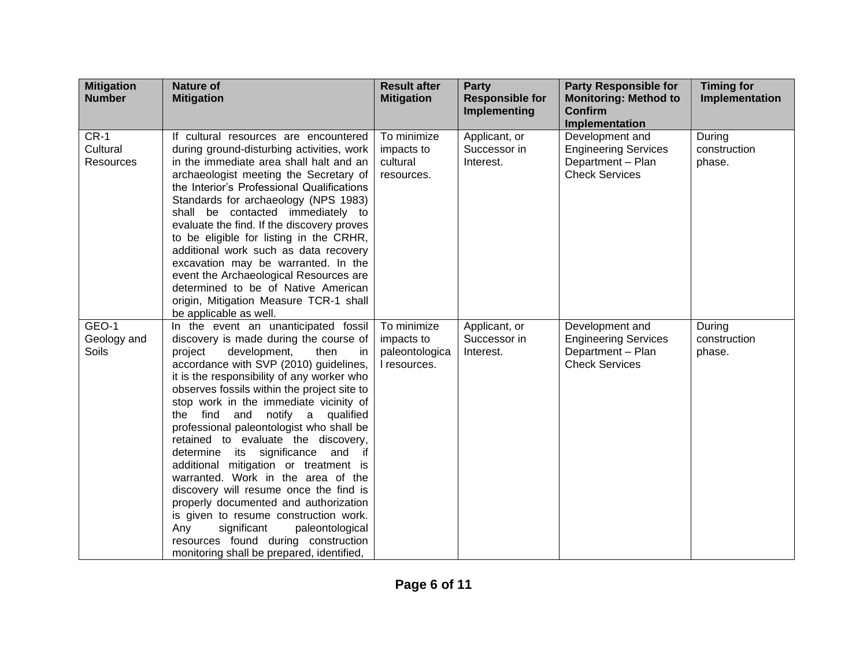| <b>Mitigation</b><br><b>Number</b> | <b>Nature of</b><br><b>Mitigation</b>                                                                                                                                                                                                                                                                                                                                                                                                                                                                                                                                                                                                                                                                                                                                                                             | <b>Result after</b><br><b>Mitigation</b>                    | <b>Party</b><br><b>Responsible for</b><br>Implementing | <b>Party Responsible for</b><br><b>Monitoring: Method to</b><br><b>Confirm</b><br>Implementation | <b>Timing for</b><br>Implementation |
|------------------------------------|-------------------------------------------------------------------------------------------------------------------------------------------------------------------------------------------------------------------------------------------------------------------------------------------------------------------------------------------------------------------------------------------------------------------------------------------------------------------------------------------------------------------------------------------------------------------------------------------------------------------------------------------------------------------------------------------------------------------------------------------------------------------------------------------------------------------|-------------------------------------------------------------|--------------------------------------------------------|--------------------------------------------------------------------------------------------------|-------------------------------------|
| $CR-1$<br>Cultural<br>Resources    | If cultural resources are encountered<br>during ground-disturbing activities, work<br>in the immediate area shall halt and an<br>archaeologist meeting the Secretary of<br>the Interior's Professional Qualifications<br>Standards for archaeology (NPS 1983)<br>shall be contacted immediately to<br>evaluate the find. If the discovery proves<br>to be eligible for listing in the CRHR,<br>additional work such as data recovery<br>excavation may be warranted. In the<br>event the Archaeological Resources are<br>determined to be of Native American<br>origin, Mitigation Measure TCR-1 shall<br>be applicable as well.                                                                                                                                                                                  | To minimize<br>impacts to<br>cultural<br>resources.         | Applicant, or<br>Successor in<br>Interest.             | Development and<br><b>Engineering Services</b><br>Department - Plan<br><b>Check Services</b>     | During<br>construction<br>phase.    |
| GEO-1<br>Geology and<br>Soils      | In the event an unanticipated fossil<br>discovery is made during the course of<br>project<br>development,<br>then<br>in<br>accordance with SVP (2010) guidelines,<br>it is the responsibility of any worker who<br>observes fossils within the project site to<br>stop work in the immediate vicinity of<br>notify a qualified<br>the find<br>and<br>professional paleontologist who shall be<br>retained to evaluate the discovery,<br>determine its significance and if<br>additional mitigation or treatment is<br>warranted. Work in the area of the<br>discovery will resume once the find is<br>properly documented and authorization<br>is given to resume construction work.<br>Any<br>significant<br>paleontological<br>resources found during construction<br>monitoring shall be prepared, identified, | To minimize<br>impacts to<br>paleontologica<br>I resources. | Applicant, or<br>Successor in<br>Interest.             | Development and<br><b>Engineering Services</b><br>Department - Plan<br><b>Check Services</b>     | During<br>construction<br>phase.    |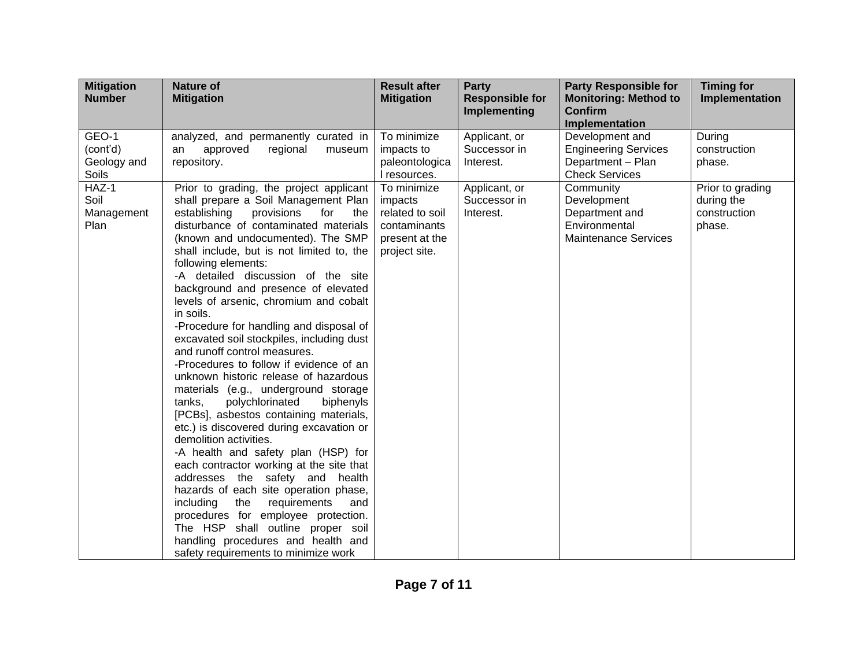| <b>Mitigation</b> | <b>Nature of</b>                                                                | <b>Result after</b>         | <b>Party</b>                                  | <b>Party Responsible for</b>                   | <b>Timing for</b>              |
|-------------------|---------------------------------------------------------------------------------|-----------------------------|-----------------------------------------------|------------------------------------------------|--------------------------------|
| <b>Number</b>     | <b>Mitigation</b>                                                               | <b>Mitigation</b>           | <b>Responsible for</b><br><b>Implementing</b> | <b>Monitoring: Method to</b><br><b>Confirm</b> | Implementation                 |
|                   |                                                                                 |                             |                                               | Implementation                                 |                                |
| GEO-1             | analyzed, and permanently curated in                                            | To minimize                 | Applicant, or                                 | Development and                                | During                         |
| (cont'd)          | approved<br>regional<br>museum<br>an                                            | impacts to                  | Successor in                                  | <b>Engineering Services</b>                    | construction                   |
| Geology and       | repository.                                                                     | paleontologica              | Interest.                                     | Department - Plan                              | phase.                         |
| Soils<br>HAZ-1    |                                                                                 | I resources.<br>To minimize |                                               | <b>Check Services</b><br>Community             |                                |
| Soil              | Prior to grading, the project applicant<br>shall prepare a Soil Management Plan | impacts                     | Applicant, or<br>Successor in                 | Development                                    | Prior to grading<br>during the |
| Management        | establishing<br>provisions<br>for<br>the                                        | related to soil             | Interest.                                     | Department and                                 | construction                   |
| Plan              | disturbance of contaminated materials                                           | contaminants                |                                               | Environmental                                  | phase.                         |
|                   | (known and undocumented). The SMP                                               | present at the              |                                               | <b>Maintenance Services</b>                    |                                |
|                   | shall include, but is not limited to, the                                       | project site.               |                                               |                                                |                                |
|                   | following elements:                                                             |                             |                                               |                                                |                                |
|                   | -A detailed discussion of the site                                              |                             |                                               |                                                |                                |
|                   | background and presence of elevated                                             |                             |                                               |                                                |                                |
|                   | levels of arsenic, chromium and cobalt<br>in soils.                             |                             |                                               |                                                |                                |
|                   | -Procedure for handling and disposal of                                         |                             |                                               |                                                |                                |
|                   | excavated soil stockpiles, including dust                                       |                             |                                               |                                                |                                |
|                   | and runoff control measures.                                                    |                             |                                               |                                                |                                |
|                   | -Procedures to follow if evidence of an                                         |                             |                                               |                                                |                                |
|                   | unknown historic release of hazardous                                           |                             |                                               |                                                |                                |
|                   | materials (e.g., underground storage                                            |                             |                                               |                                                |                                |
|                   | polychlorinated<br>biphenyls<br>tanks.                                          |                             |                                               |                                                |                                |
|                   | [PCBs], asbestos containing materials,                                          |                             |                                               |                                                |                                |
|                   | etc.) is discovered during excavation or<br>demolition activities.              |                             |                                               |                                                |                                |
|                   | -A health and safety plan (HSP) for                                             |                             |                                               |                                                |                                |
|                   | each contractor working at the site that                                        |                             |                                               |                                                |                                |
|                   | addresses the safety and health                                                 |                             |                                               |                                                |                                |
|                   | hazards of each site operation phase,                                           |                             |                                               |                                                |                                |
|                   | including<br>the<br>requirements<br>and                                         |                             |                                               |                                                |                                |
|                   | procedures for employee protection.                                             |                             |                                               |                                                |                                |
|                   | The HSP shall outline proper soil                                               |                             |                                               |                                                |                                |
|                   | handling procedures and health and                                              |                             |                                               |                                                |                                |
|                   | safety requirements to minimize work                                            |                             |                                               |                                                |                                |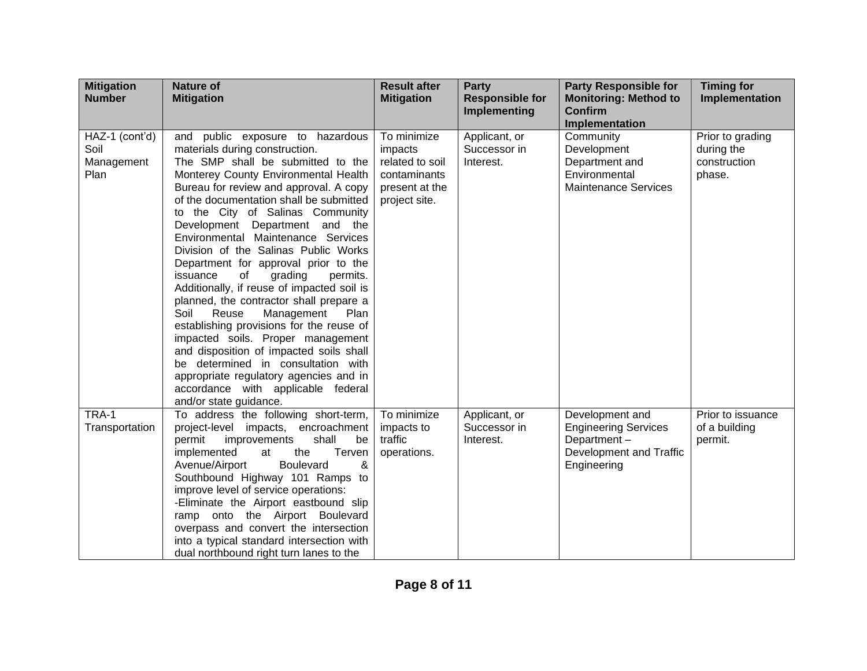| <b>Mitigation</b><br><b>Number</b>           | <b>Nature of</b><br><b>Mitigation</b>                                                                                                                                                                                                                                                                                                                                                                                                                                                                                                                                                                                                                                                                                                                                                                                                                                                 | <b>Result after</b><br><b>Mitigation</b>                                                     | <b>Party</b><br><b>Responsible for</b><br>Implementing | <b>Party Responsible for</b><br><b>Monitoring: Method to</b><br><b>Confirm</b><br>Implementation        | <b>Timing for</b><br>Implementation                      |
|----------------------------------------------|---------------------------------------------------------------------------------------------------------------------------------------------------------------------------------------------------------------------------------------------------------------------------------------------------------------------------------------------------------------------------------------------------------------------------------------------------------------------------------------------------------------------------------------------------------------------------------------------------------------------------------------------------------------------------------------------------------------------------------------------------------------------------------------------------------------------------------------------------------------------------------------|----------------------------------------------------------------------------------------------|--------------------------------------------------------|---------------------------------------------------------------------------------------------------------|----------------------------------------------------------|
| HAZ-1 (cont'd)<br>Soil<br>Management<br>Plan | and public exposure to hazardous<br>materials during construction.<br>The SMP shall be submitted to the<br>Monterey County Environmental Health<br>Bureau for review and approval. A copy<br>of the documentation shall be submitted<br>to the City of Salinas Community<br>Development Department and the<br>Environmental Maintenance Services<br>Division of the Salinas Public Works<br>Department for approval prior to the<br>issuance<br>of<br>grading<br>permits.<br>Additionally, if reuse of impacted soil is<br>planned, the contractor shall prepare a<br>Soil<br>Reuse<br>Management<br>Plan<br>establishing provisions for the reuse of<br>impacted soils. Proper management<br>and disposition of impacted soils shall<br>be determined in consultation with<br>appropriate regulatory agencies and in<br>accordance with applicable federal<br>and/or state guidance. | To minimize<br>impacts<br>related to soil<br>contaminants<br>present at the<br>project site. | Applicant, or<br>Successor in<br>Interest.             | Community<br>Development<br>Department and<br>Environmental<br><b>Maintenance Services</b>              | Prior to grading<br>during the<br>construction<br>phase. |
| TRA-1<br>Transportation                      | To address the following short-term,<br>project-level impacts, encroachment<br>permit<br>shall<br>improvements<br>be<br>implemented<br>the<br>Terven<br>at<br>Avenue/Airport<br><b>Boulevard</b><br>&<br>Southbound Highway 101 Ramps to<br>improve level of service operations:<br>-Eliminate the Airport eastbound slip<br>ramp onto the Airport Boulevard<br>overpass and convert the intersection<br>into a typical standard intersection with<br>dual northbound right turn lanes to the                                                                                                                                                                                                                                                                                                                                                                                         | To minimize<br>impacts to<br>traffic<br>operations.                                          | Applicant, or<br>Successor in<br>Interest.             | Development and<br><b>Engineering Services</b><br>Department-<br>Development and Traffic<br>Engineering | Prior to issuance<br>of a building<br>permit.            |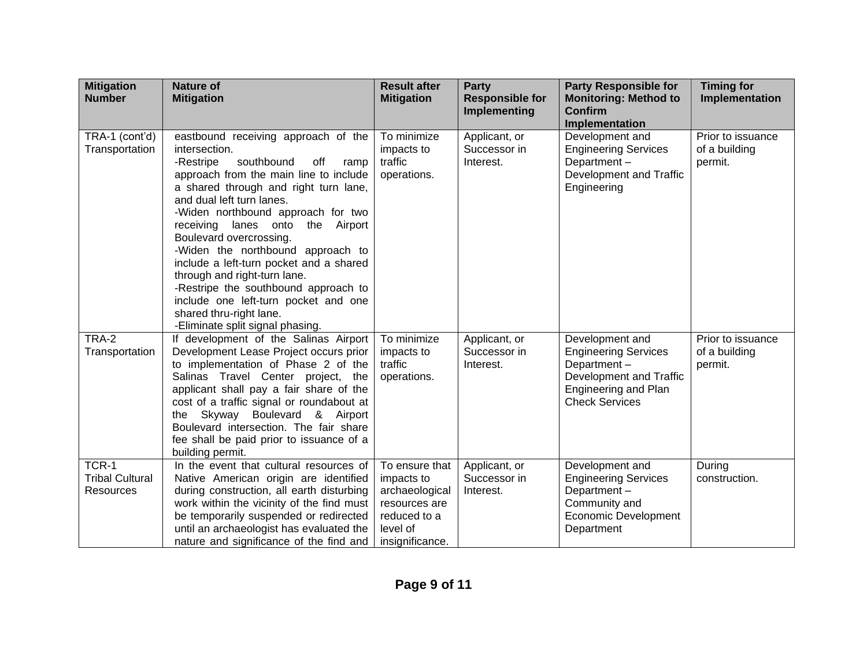| <b>Mitigation</b><br><b>Number</b>           | <b>Nature of</b><br><b>Mitigation</b>                                                                                                                                                                                                                                                                                                                                                                                                                                                                                                                                                 | <b>Result after</b><br><b>Mitigation</b>                                                                       | <b>Party</b><br><b>Responsible for</b><br><b>Implementing</b> | <b>Party Responsible for</b><br><b>Monitoring: Method to</b><br><b>Confirm</b><br>Implementation                                                 | <b>Timing for</b><br>Implementation           |
|----------------------------------------------|---------------------------------------------------------------------------------------------------------------------------------------------------------------------------------------------------------------------------------------------------------------------------------------------------------------------------------------------------------------------------------------------------------------------------------------------------------------------------------------------------------------------------------------------------------------------------------------|----------------------------------------------------------------------------------------------------------------|---------------------------------------------------------------|--------------------------------------------------------------------------------------------------------------------------------------------------|-----------------------------------------------|
| TRA-1 (cont'd)<br>Transportation             | eastbound receiving approach of the<br>intersection.<br>southbound<br>-Restripe<br>off<br>ramp<br>approach from the main line to include<br>a shared through and right turn lane,<br>and dual left turn lanes.<br>-Widen northbound approach for two<br>receiving lanes onto<br>the Airport<br>Boulevard overcrossing.<br>-Widen the northbound approach to<br>include a left-turn pocket and a shared<br>through and right-turn lane.<br>-Restripe the southbound approach to<br>include one left-turn pocket and one<br>shared thru-right lane.<br>-Eliminate split signal phasing. | To minimize<br>impacts to<br>traffic<br>operations.                                                            | Applicant, or<br>Successor in<br>Interest.                    | Development and<br><b>Engineering Services</b><br>Department-<br>Development and Traffic<br>Engineering                                          | Prior to issuance<br>of a building<br>permit. |
| TRA-2<br>Transportation                      | If development of the Salinas Airport<br>Development Lease Project occurs prior<br>to implementation of Phase 2 of the<br>Salinas Travel Center project, the<br>applicant shall pay a fair share of the<br>cost of a traffic signal or roundabout at<br>Skyway Boulevard & Airport<br>the<br>Boulevard intersection. The fair share<br>fee shall be paid prior to issuance of a<br>building permit.                                                                                                                                                                                   | To minimize<br>impacts to<br>traffic<br>operations.                                                            | Applicant, or<br>Successor in<br>Interest.                    | Development and<br><b>Engineering Services</b><br>Department-<br>Development and Traffic<br><b>Engineering and Plan</b><br><b>Check Services</b> | Prior to issuance<br>of a building<br>permit. |
| TCR-1<br><b>Tribal Cultural</b><br>Resources | In the event that cultural resources of<br>Native American origin are identified<br>during construction, all earth disturbing<br>work within the vicinity of the find must<br>be temporarily suspended or redirected<br>until an archaeologist has evaluated the<br>nature and significance of the find and                                                                                                                                                                                                                                                                           | To ensure that<br>impacts to<br>archaeological<br>resources are<br>reduced to a<br>level of<br>insignificance. | Applicant, or<br>Successor in<br>Interest.                    | Development and<br><b>Engineering Services</b><br>Department-<br>Community and<br><b>Economic Development</b><br>Department                      | During<br>construction.                       |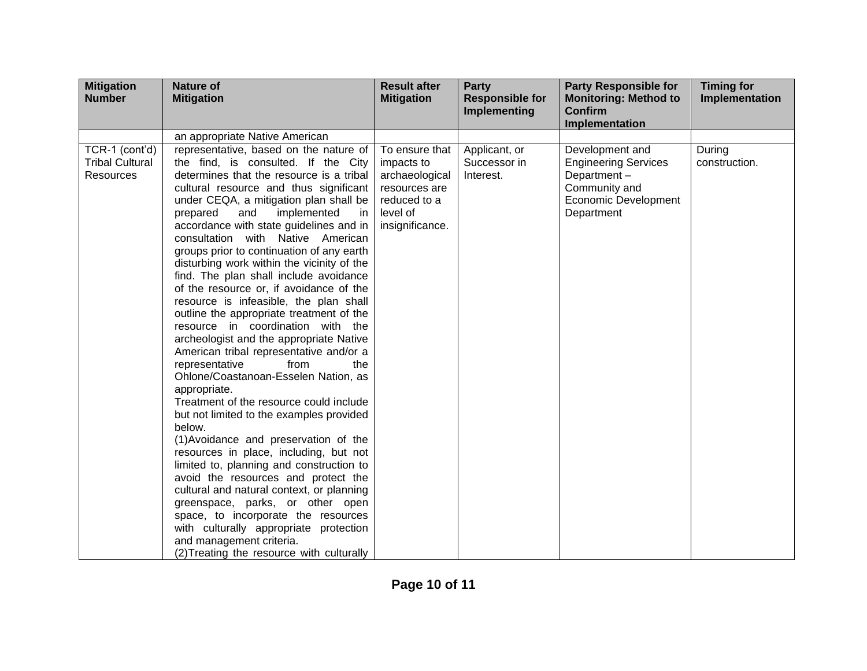| <b>Mitigation</b><br><b>Number</b>                           | <b>Nature of</b><br><b>Mitigation</b>                                                                                                                                                                                                                                                                                                                                                                                                                                                                                                                                                                                                                                                                                                                                                                                                                                                                                                                                                                                                                                                                                                                                                                                                                                                                                                              | <b>Result after</b><br><b>Mitigation</b>                                                                       | <b>Party</b><br><b>Responsible for</b><br>Implementing | <b>Party Responsible for</b><br><b>Monitoring: Method to</b><br><b>Confirm</b>                                              | <b>Timing for</b><br>Implementation |
|--------------------------------------------------------------|----------------------------------------------------------------------------------------------------------------------------------------------------------------------------------------------------------------------------------------------------------------------------------------------------------------------------------------------------------------------------------------------------------------------------------------------------------------------------------------------------------------------------------------------------------------------------------------------------------------------------------------------------------------------------------------------------------------------------------------------------------------------------------------------------------------------------------------------------------------------------------------------------------------------------------------------------------------------------------------------------------------------------------------------------------------------------------------------------------------------------------------------------------------------------------------------------------------------------------------------------------------------------------------------------------------------------------------------------|----------------------------------------------------------------------------------------------------------------|--------------------------------------------------------|-----------------------------------------------------------------------------------------------------------------------------|-------------------------------------|
|                                                              |                                                                                                                                                                                                                                                                                                                                                                                                                                                                                                                                                                                                                                                                                                                                                                                                                                                                                                                                                                                                                                                                                                                                                                                                                                                                                                                                                    |                                                                                                                |                                                        | <b>Implementation</b>                                                                                                       |                                     |
|                                                              | an appropriate Native American                                                                                                                                                                                                                                                                                                                                                                                                                                                                                                                                                                                                                                                                                                                                                                                                                                                                                                                                                                                                                                                                                                                                                                                                                                                                                                                     |                                                                                                                |                                                        |                                                                                                                             |                                     |
| TCR-1 (cont'd)<br><b>Tribal Cultural</b><br><b>Resources</b> | representative, based on the nature of<br>the find, is consulted. If the City<br>determines that the resource is a tribal<br>cultural resource and thus significant<br>under CEQA, a mitigation plan shall be<br>implemented<br>prepared<br>and<br>in.<br>accordance with state guidelines and in<br>consultation with Native American<br>groups prior to continuation of any earth<br>disturbing work within the vicinity of the<br>find. The plan shall include avoidance<br>of the resource or, if avoidance of the<br>resource is infeasible, the plan shall<br>outline the appropriate treatment of the<br>resource in coordination with the<br>archeologist and the appropriate Native<br>American tribal representative and/or a<br>representative<br>from<br>the<br>Ohlone/Coastanoan-Esselen Nation, as<br>appropriate.<br>Treatment of the resource could include<br>but not limited to the examples provided<br>below.<br>(1) Avoidance and preservation of the<br>resources in place, including, but not<br>limited to, planning and construction to<br>avoid the resources and protect the<br>cultural and natural context, or planning<br>greenspace, parks, or other open<br>space, to incorporate the resources<br>with culturally appropriate protection<br>and management criteria.<br>(2) Treating the resource with culturally | To ensure that<br>impacts to<br>archaeological<br>resources are<br>reduced to a<br>level of<br>insignificance. | Applicant, or<br>Successor in<br>Interest.             | Development and<br><b>Engineering Services</b><br>Department-<br>Community and<br><b>Economic Development</b><br>Department | During<br>construction.             |